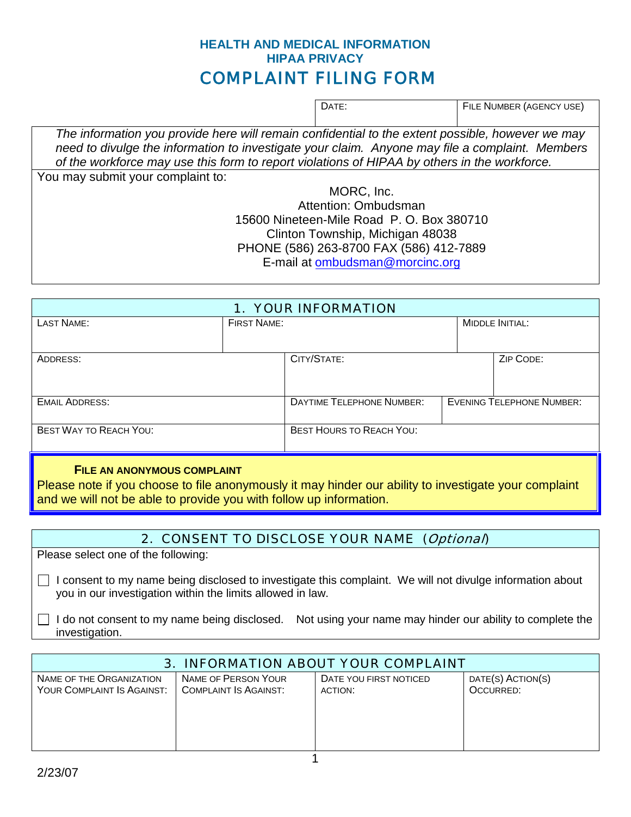## **HEALTH AND MEDICAL INFORMATION HIPAA PRIVACY** COMPLAINT FILING FORM

| DATE: | FILE NUMBER (AGENCY USE) |
|-------|--------------------------|

*The information you provide here will remain confidential to the extent possible, however we may need to divulge the information to investigate your claim. Anyone may file a complaint. Members of the workforce may use this form to report violations of HIPAA by others in the workforce.* You may submit your complaint to:

MORC, Inc. Attention: Ombudsman 15600 Nineteen-Mile Road P. O. Box 380710 Clinton Township, Michigan 48038 PHONE (586) 263-8700 FAX (586) 412-7889 E-mail at [ombudsman@morcinc.org](mailto:ombudsman@morcinc.org)

| <b>1. YOUR INFORMATION</b>         |                    |                                  |  |                                  |
|------------------------------------|--------------------|----------------------------------|--|----------------------------------|
| <b>LAST NAME:</b>                  | <b>FIRST NAME:</b> |                                  |  | <b>MIDDLE INITIAL:</b>           |
|                                    |                    |                                  |  |                                  |
| ADDRESS:                           |                    | CITY/STATE:                      |  | ZIP CODE:                        |
|                                    |                    |                                  |  |                                  |
| <b>EMAIL ADDRESS:</b>              |                    | <b>DAYTIME TELEPHONE NUMBER:</b> |  | <b>EVENING TELEPHONE NUMBER:</b> |
| <b>BEST WAY TO REACH YOU:</b>      |                    | <b>BEST HOURS TO REACH YOU:</b>  |  |                                  |
| <b>FILE AN ANONYMOUS COMPLAINT</b> |                    |                                  |  |                                  |

Please note if you choose to file anonymously it may hinder our ability to investigate your complaint and we will not be able to provide you with follow up information.

## 2. CONSENT TO DISCLOSE YOUR NAME (Optional)

Please select one of the following:

 $\Box$  I consent to my name being disclosed to investigate this complaint. We will not divulge information about you in our investigation within the limits allowed in law.

 $\Box$  I do not consent to my name being disclosed. Not using your name may hinder our ability to complete the investigation.

| 3. INFORMATION ABOUT YOUR COMPLAINT |                       |                        |                   |  |  |
|-------------------------------------|-----------------------|------------------------|-------------------|--|--|
| NAME OF THE ORGANIZATION            | NAME OF PERSON YOUR   | DATE YOU FIRST NOTICED | DATE(S) ACTION(S) |  |  |
| YOUR COMPLAINT IS AGAINST:          | COMPLAINT IS AGAINST: | ACTION:                | OCCURRED:         |  |  |